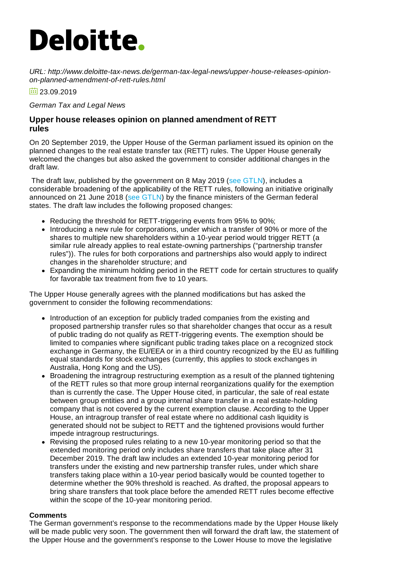# **Deloitte.**

*URL: http://www.deloitte-tax-news.de/german-tax-legal-news/upper-house-releases-opinionon-planned-amendment-of-rett-rules.html*

 $\frac{1}{2}$  23.09.2019

*German Tax and Legal News*

# **Upper house releases opinion on planned amendment of RETT rules**

On 20 September 2019, the Upper House of the German parliament issued its opinion on the planned changes to the real estate transfer tax (RETT) rules. The Upper House generally welcomed the changes but also asked the government to consider additional changes in the draft law.

The draft law, published by the government on 8 May 2019 (see [GTLN](https://www.deloitte-tax-news.de/german-tax-legal-news/federal-ministry-of-finance-publishes-draft-law-to-amend-rett-rules-on-share-deals.html)), includes a considerable broadening of the applicability of the RETT rules, following an initiative originally announced on 21 June 2018 (see [GTLN](https://www.deloitte-tax-news.de/german-tax-legal-news/finance-ministers-of-federal-states-recommend-tightening-of-rett-rules.html)) by the finance ministers of the German federal states. The draft law includes the following proposed changes:

- Reducing the threshold for RETT-triggering events from 95% to 90%;
- Introducing a new rule for corporations, under which a transfer of 90% or more of the shares to multiple new shareholders within a 10-year period would trigger RETT (a similar rule already applies to real estate-owning partnerships ("partnership transfer rules")). The rules for both corporations and partnerships also would apply to indirect changes in the shareholder structure; and
- Expanding the minimum holding period in the RETT code for certain structures to qualify  $\bullet$ for favorable tax treatment from five to 10 years.

The Upper House generally agrees with the planned modifications but has asked the government to consider the following recommendations:

- Introduction of an exception for publicly traded companies from the existing and proposed partnership transfer rules so that shareholder changes that occur as a result of public trading do not qualify as RETT-triggering events. The exemption should be limited to companies where significant public trading takes place on a recognized stock exchange in Germany, the EU/EEA or in a third country recognized by the EU as fulfilling equal standards for stock exchanges (currently, this applies to stock exchanges in Australia, Hong Kong and the US).
- Broadening the intragroup restructuring exemption as a result of the planned tightening of the RETT rules so that more group internal reorganizations qualify for the exemption than is currently the case. The Upper House cited, in particular, the sale of real estate between group entities and a group internal share transfer in a real estate-holding company that is not covered by the current exemption clause. According to the Upper House, an intragroup transfer of real estate where no additional cash liquidity is generated should not be subject to RETT and the tightened provisions would further impede intragroup restructurings.
- Revising the proposed rules relating to a new 10-year monitoring period so that the extended monitoring period only includes share transfers that take place after 31 December 2019. The draft law includes an extended 10-year monitoring period for transfers under the existing and new partnership transfer rules, under which share transfers taking place within a 10-year period basically would be counted together to determine whether the 90% threshold is reached. As drafted, the proposal appears to bring share transfers that took place before the amended RETT rules become effective within the scope of the 10-year monitoring period.

### **Comments**

The German government's response to the recommendations made by the Upper House likely will be made public very soon. The government then will forward the draft law, the statement of the Upper House and the government's response to the Lower House to move the legislative